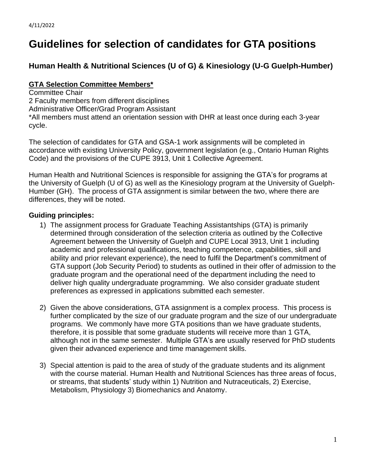# **Guidelines for selection of candidates for GTA positions**

# **Human Health & Nutritional Sciences (U of G) & Kinesiology (U-G Guelph-Humber)**

### **GTA Selection Committee Members\***

Committee Chair 2 Faculty members from different disciplines Administrative Officer/Grad Program Assistant

\*All members must attend an orientation session with DHR at least once during each 3-year cycle.

The selection of candidates for GTA and GSA-1 work assignments will be completed in accordance with existing University Policy, government legislation (e.g., Ontario Human Rights Code) and the provisions of the CUPE 3913, Unit 1 Collective Agreement.

Human Health and Nutritional Sciences is responsible for assigning the GTA's for programs at the University of Guelph (U of G) as well as the Kinesiology program at the University of Guelph-Humber (GH). The process of GTA assignment is similar between the two, where there are differences, they will be noted.

## **Guiding principles:**

- 1) The assignment process for Graduate Teaching Assistantships (GTA) is primarily determined through consideration of the selection criteria as outlined by the Collective Agreement between the University of Guelph and CUPE Local 3913, Unit 1 including academic and professional qualifications, teaching competence, capabilities, skill and ability and prior relevant experience), the need to fulfil the Department's commitment of GTA support (Job Security Period) to students as outlined in their offer of admission to the graduate program and the operational need of the department including the need to deliver high quality undergraduate programming. We also consider graduate student preferences as expressed in applications submitted each semester.
- 2) Given the above considerations, GTA assignment is a complex process. This process is further complicated by the size of our graduate program and the size of our undergraduate programs. We commonly have more GTA positions than we have graduate students, therefore, it is possible that some graduate students will receive more than 1 GTA, although not in the same semester. Multiple GTA's are usually reserved for PhD students given their advanced experience and time management skills.
- 3) Special attention is paid to the area of study of the graduate students and its alignment with the course material. Human Health and Nutritional Sciences has three areas of focus, or streams, that students' study within 1) Nutrition and Nutraceuticals, 2) Exercise, Metabolism, Physiology 3) Biomechanics and Anatomy.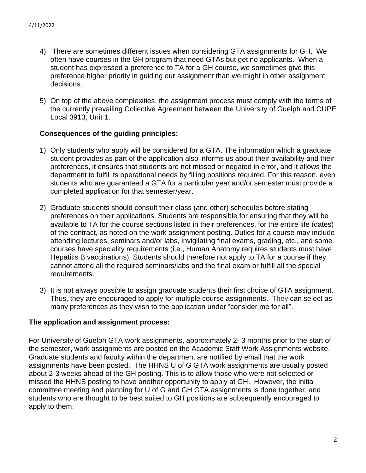- 4) There are sometimes different issues when considering GTA assignments for GH. We often have courses in the GH program that need GTAs but get no applicants. When a student has expressed a preference to TA for a GH course, we sometimes give this preference higher priority in guiding our assignment than we might in other assignment decisions.
- 5) On top of the above complexities, the assignment process must comply with the terms of the currently prevailing Collective Agreement between the University of Guelph and CUPE Local 3913, Unit 1.

#### **Consequences of the guiding principles:**

- 1) Only students who apply will be considered for a GTA. The information which a graduate student provides as part of the application also informs us about their availability and their preferences, it ensures that students are not missed or negated in error, and it allows the department to fulfil its operational needs by filling positions required. For this reason, even students who are guaranteed a GTA for a particular year and/or semester must provide a completed application for that semester/year.
- 2) Graduate students should consult their class (and other) schedules before stating preferences on their applications. Students are responsible for ensuring that they will be available to TA for the course sections listed in their preferences, for the entire life (dates) of the contract, as noted on the work assignment posting. Duties for a course may include attending lectures, seminars and/or labs, invigilating final exams, grading, etc., and some courses have speciality requirements (i.e., Human Anatomy requires students must have Hepatitis B vaccinations). Students should therefore not apply to TA for a course if they cannot attend all the required seminars/labs and the final exam or fulfill all the special requirements.
- 3) It is not always possible to assign graduate students their first choice of GTA assignment. Thus, they are encouraged to apply for multiple course assignments. They can select as many preferences as they wish to the application under "consider me for all".

#### **The application and assignment process:**

For University of Guelph GTA work assignments, approximately 2- 3 months prior to the start of the semester, work assignments are posted on the Academic Staff Work Assignments website. Graduate students and faculty within the department are notified by email that the work assignments have been posted. The HHNS U of G GTA work assignments are usually posted about 2-3 weeks ahead of the GH posting. This is to allow those who were not selected or missed the HHNS posting to have another opportunity to apply at GH. However, the initial committee meeting and planning for U of G and GH GTA assignments is done together, and students who are thought to be best suited to GH positions are subsequently encouraged to apply to them.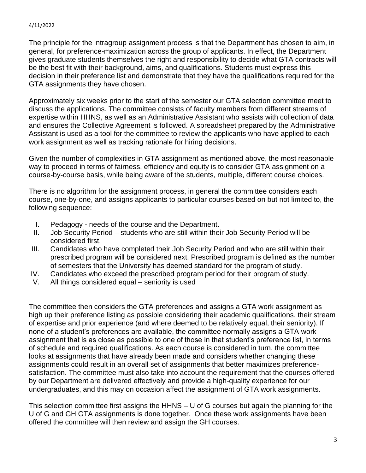#### 4/11/2022

The principle for the intragroup assignment process is that the Department has chosen to aim, in general, for preference-maximization across the group of applicants. In effect, the Department gives graduate students themselves the right and responsibility to decide what GTA contracts will be the best fit with their background, aims, and qualifications. Students must express this decision in their preference list and demonstrate that they have the qualifications required for the GTA assignments they have chosen.

Approximately six weeks prior to the start of the semester our GTA selection committee meet to discuss the applications. The committee consists of faculty members from different streams of expertise within HHNS, as well as an Administrative Assistant who assists with collection of data and ensures the Collective Agreement is followed. A spreadsheet prepared by the Administrative Assistant is used as a tool for the committee to review the applicants who have applied to each work assignment as well as tracking rationale for hiring decisions.

Given the number of complexities in GTA assignment as mentioned above, the most reasonable way to proceed in terms of fairness, efficiency and equity is to consider GTA assignment on a course-by-course basis, while being aware of the students, multiple, different course choices.

There is no algorithm for the assignment process, in general the committee considers each course, one-by-one, and assigns applicants to particular courses based on but not limited to, the following sequence:

- I. Pedagogy needs of the course and the Department.
- II. Job Security Period students who are still within their Job Security Period will be considered first.
- III. Candidates who have completed their Job Security Period and who are still within their prescribed program will be considered next. Prescribed program is defined as the number of semesters that the University has deemed standard for the program of study.
- IV. Candidates who exceed the prescribed program period for their program of study.
- V. All things considered equal seniority is used

The committee then considers the GTA preferences and assigns a GTA work assignment as high up their preference listing as possible considering their academic qualifications, their stream of expertise and prior experience (and where deemed to be relatively equal, their seniority). If none of a student's preferences are available, the committee normally assigns a GTA work assignment that is as close as possible to one of those in that student's preference list, in terms of schedule and required qualifications. As each course is considered in turn, the committee looks at assignments that have already been made and considers whether changing these assignments could result in an overall set of assignments that better maximizes preferencesatisfaction. The committee must also take into account the requirement that the courses offered by our Department are delivered effectively and provide a high-quality experience for our undergraduates, and this may on occasion affect the assignment of GTA work assignments.

This selection committee first assigns the HHNS – U of G courses but again the planning for the U of G and GH GTA assignments is done together. Once these work assignments have been offered the committee will then review and assign the GH courses.